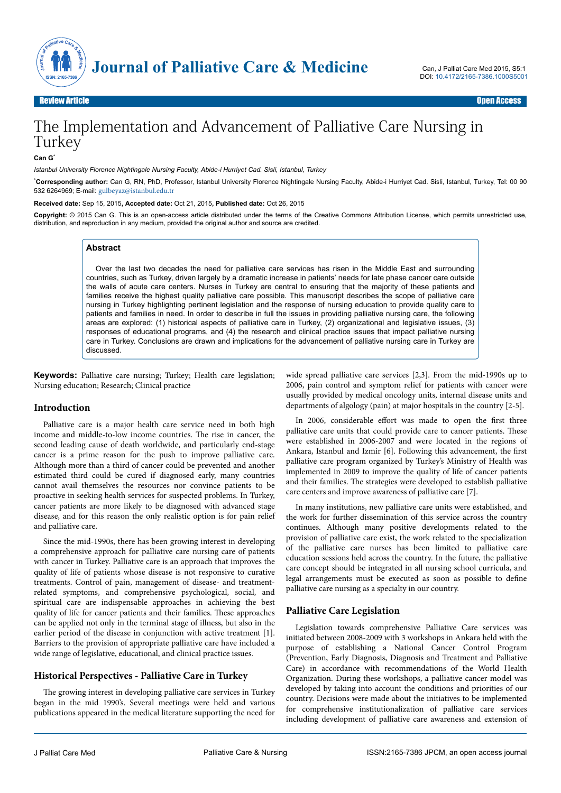

Review Article Communication of the contract of the contract of the contract of the contract of the contract of the contract of the contract of the contract of the contract of the contract of the contract of the contract o

# The Implementation and Advancement of Palliative Care Nursing in **Turkey**

**Can G**\*

*Istanbul University Florence Nightingale Nursing Faculty, Abide-i Hurriyet Cad. Sisli, Istanbul, Turkey*

\***Corresponding author:** Can G, RN, PhD, Professor, Istanbul University Florence Nightingale Nursing Faculty, Abide-i Hurriyet Cad. Sisli, Istanbul, Turkey, Tel: 00 90 532 6264969; E-mail: [gulbeyaz@istanbul.edu.tr](mailto:gulbeyaz@istanbul.edu.tr)

**Received date:** Sep 15, 2015**, Accepted date:** Oct 21, 2015**, Published date:** Oct 26, 2015

**Copyright:** © 2015 Can G. This is an open-access article distributed under the terms of the Creative Commons Attribution License, which permits unrestricted use, distribution, and reproduction in any medium, provided the original author and source are credited.

#### **Abstract**

Over the last two decades the need for palliative care services has risen in the Middle East and surrounding countries, such as Turkey, driven largely by a dramatic increase in patients' needs for late phase cancer care outside the walls of acute care centers. Nurses in Turkey are central to ensuring that the majority of these patients and families receive the highest quality palliative care possible. This manuscript describes the scope of palliative care nursing in Turkey highlighting pertinent legislation and the response of nursing education to provide quality care to patients and families in need. In order to describe in full the issues in providing palliative nursing care, the following areas are explored: (1) historical aspects of palliative care in Turkey, (2) organizational and legislative issues, (3) responses of educational programs, and (4) the research and clinical practice issues that impact palliative nursing care in Turkey. Conclusions are drawn and implications for the advancement of palliative nursing care in Turkey are discussed.

**Keywords:** Palliative care nursing; Turkey; Health care legislation; Nursing education; Research; Clinical practice

## **Introduction**

Palliative care is a major health care service need in both high income and middle-to-low income countries. Нe rise in cancer, the second leading cause of death worldwide, and particularly end-stage cancer is a prime reason for the push to improve palliative care. Although more than a third of cancer could be prevented and another estimated third could be cured if diagnosed early, many countries cannot avail themselves the resources nor convince patients to be proactive in seeking health services for suspected problems. In Turkey, cancer patients are more likely to be diagnosed with advanced stage disease, and for this reason the only realistic option is for pain relief and palliative care.

Since the mid-1990s, there has been growing interest in developing a comprehensive approach for palliative care nursing care of patients with cancer in Turkey. Palliative care is an approach that improves the quality of life of patients whose disease is not responsive to curative treatments. Control of pain, management of disease- and treatmentrelated symptoms, and comprehensive psychological, social, and spiritual care are indispensable approaches in achieving the best quality of life for cancer patients and their families. Нese approaches can be applied not only in the terminal stage of illness, but also in the earlier period of the disease in conjunction with active treatment [1]. Barriers to the provision of appropriate palliative care have included a wide range of legislative, educational, and clinical practice issues.

# **Historical Perspectives - Palliative Care in Turkey**

The growing interest in developing palliative care services in Turkey began in the mid 1990's. Several meetings were held and various publications appeared in the medical literature supporting the need for wide spread palliative care services [2,3]. From the mid-1990s up to 2006, pain control and symptom relief for patients with cancer were usually provided by medical oncology units, internal disease units and departments of algology (pain) at major hospitals in the country [2-5].

In 2006, considerable effort was made to open the first three palliative care units that could provide care to cancer patients. Нese were established in 2006-2007 and were located in the regions of Ankara, Istanbul and Izmir [6]. Following this advancement, the first palliative care program organized by Turkey's Ministry of Health was implemented in 2009 to improve the quality of life of cancer patients and their families. Нe strategies were developed to establish palliative care centers and improve awareness of palliative care [7].

In many institutions, new palliative care units were established, and the work for further dissemination of this service across the country continues. Although many positive developments related to the provision of palliative care exist, the work related to the specialization of the palliative care nurses has been limited to palliative care education sessions held across the country. In the future, the palliative care concept should be integrated in all nursing school curricula, and legal arrangements must be executed as soon as possible to define palliative care nursing as a specialty in our country.

# **Palliative Care Legislation**

Legislation towards comprehensive Palliative Care services was initiated between 2008-2009 with 3 workshops in Ankara held with the purpose of establishing a National Cancer Control Program (Prevention, Early Diagnosis, Diagnosis and Treatment and Palliative Care) in accordance with recommendations of the World Health Organization. During these workshops, a palliative cancer model was developed by taking into account the conditions and priorities of our country. Decisions were made about the initiatives to be implemented for comprehensive institutionalization of palliative care services including development of palliative care awareness and extension of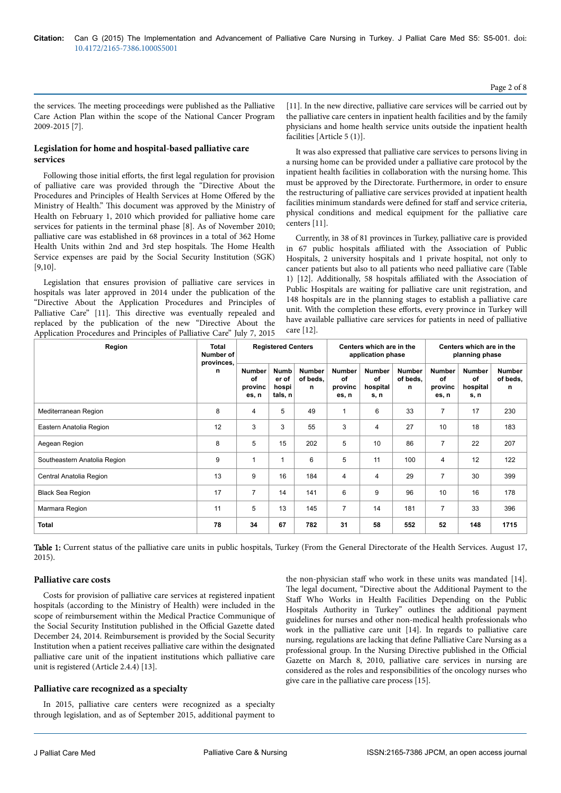the services. Нe meeting proceedings were published as the Palliative Care Action Plan within the scope of the National Cancer Program 2009-2015 [7].

## **Legislation for home and hospital-based palliative care services**

Following those initial efforts, the first legal regulation for provision of palliative care was provided through the "Directive About the Procedures and Principles of Health Services at Home Offered by the Ministry of Health." Нis document was approved by the Ministry of Health on February 1, 2010 which provided for palliative home care services for patients in the terminal phase [8]. As of November 2010; palliative care was established in 68 provinces in a total of 362 Home Health Units within 2nd and 3rd step hospitals. Нe Home Health Service expenses are paid by the Social Security Institution (SGK) [9,10].

Legislation that ensures provision of palliative care services in hospitals was later approved in 2014 under the publication of the "Directive About the Application Procedures and Principles of Palliative Care" [11]. This directive was eventually repealed and replaced by the publication of the new "Directive About the Application Procedures and Principles of Palliative Care" July 7, 2015

[11]. In the new directive, palliative care services will be carried out by the palliative care centers in inpatient health facilities and by the family physicians and home health service units outside the inpatient health facilities [Article 5 (1)].

Page 2 of 8

It was also expressed that palliative care services to persons living in a nursing home can be provided under a palliative care protocol by the inpatient health facilities in collaboration with the nursing home. Нis must be approved by the Directorate. Furthermore, in order to ensure the restructuring of palliative care services provided at inpatient health facilities minimum standards were defined for staff and service criteria, physical conditions and medical equipment for the palliative care centers [11].

Currently, in 38 of 81 provinces in Turkey, palliative care is provided in 67 public hospitals affiliated with the Association of Public Hospitals, 2 university hospitals and 1 private hospital, not only to cancer patients but also to all patients who need palliative care (Table 1) [12]. Additionally, 58 hospitals affiliated with the Association of Public Hospitals are waiting for palliative care unit registration, and 148 hospitals are in the planning stages to establish a palliative care unit. With the completion these efforts, every province in Turkey will have available palliative care services for patients in need of palliative care [12].

| Region                       | <b>Total</b><br>Number of<br>provinces,<br>n |                                         | <b>Registered Centers</b>                       |                                | Centers which are in the<br>application phase |                                         |                                | Centers which are in the<br>planning phase |                                         |                                |
|------------------------------|----------------------------------------------|-----------------------------------------|-------------------------------------------------|--------------------------------|-----------------------------------------------|-----------------------------------------|--------------------------------|--------------------------------------------|-----------------------------------------|--------------------------------|
|                              |                                              | <b>Number</b><br>οf<br>provinc<br>es, n | <b>Numb</b><br>er of<br>hospi<br>tals, $n \mid$ | <b>Number</b><br>of beds,<br>n | <b>Number</b><br>οf<br>provinc<br>es, n       | <b>Number</b><br>οf<br>hospital<br>s, n | <b>Number</b><br>of beds,<br>n | <b>Number</b><br>οf<br>provinc<br>es, n    | <b>Number</b><br>οf<br>hospital<br>s, n | <b>Number</b><br>of beds,<br>n |
| Mediterranean Region         | 8                                            | 4                                       | 5                                               | 49                             | 1                                             | 6                                       | 33                             | $\overline{7}$                             | 17                                      | 230                            |
| Eastern Anatolia Region      | 12                                           | 3                                       | 3                                               | 55                             | 3                                             | 4                                       | 27                             | 10                                         | 18                                      | 183                            |
| Aegean Region                | 8                                            | 5                                       | 15                                              | 202                            | 5                                             | 10                                      | 86                             | $\overline{7}$                             | 22                                      | 207                            |
| Southeastern Anatolia Region | 9                                            | 1                                       | 1                                               | 6                              | 5                                             | 11                                      | 100                            | 4                                          | 12                                      | 122                            |
| Central Anatolia Region      | 13                                           | 9                                       | 16                                              | 184                            | 4                                             | 4                                       | 29                             | $\overline{7}$                             | 30                                      | 399                            |
| <b>Black Sea Region</b>      | 17                                           | $\overline{7}$                          | 14                                              | 141                            | 6                                             | 9                                       | 96                             | 10                                         | 16                                      | 178                            |
| Marmara Region               | 11                                           | 5                                       | 13                                              | 145                            | $\overline{7}$                                | 14                                      | 181                            | 7                                          | 33                                      | 396                            |
| <b>Total</b>                 | 78                                           | 34                                      | 67                                              | 782                            | 31                                            | 58                                      | 552                            | 52                                         | 148                                     | 1715                           |

Table 1: Current status of the palliative care units in public hospitals, Turkey (From the General Directorate of the Health Services. August 17, 2015).

## **Palliative care costs**

Costs for provision of palliative care services at registered inpatient hospitals (according to the Ministry of Health) were included in the scope of reimbursement within the Medical Practice Communique of the Social Security Institution published in the Official Gazette dated December 24, 2014. Reimbursement is provided by the Social Security Institution when a patient receives palliative care within the designated palliative care unit of the inpatient institutions which palliative care unit is registered (Article 2.4.4) [13].

#### **Palliative care recognized as a specialty**

In 2015, palliative care centers were recognized as a specialty through legislation, and as of September 2015, additional payment to

the non-physician staff who work in these units was mandated  $[14]$ . The legal document, "Directive about the Additional Payment to the Staff Who Works in Health Facilities Depending on the Public Hospitals Authority in Turkey" outlines the additional payment guidelines for nurses and other non-medical health professionals who work in the palliative care unit [14]. In regards to palliative care nursing, regulations are lacking that define Palliative Care Nursing as a professional group. In the Nursing Directive published in the Official Gazette on March 8, 2010, palliative care services in nursing are considered as the roles and responsibilities of the oncology nurses who give care in the palliative care process [15].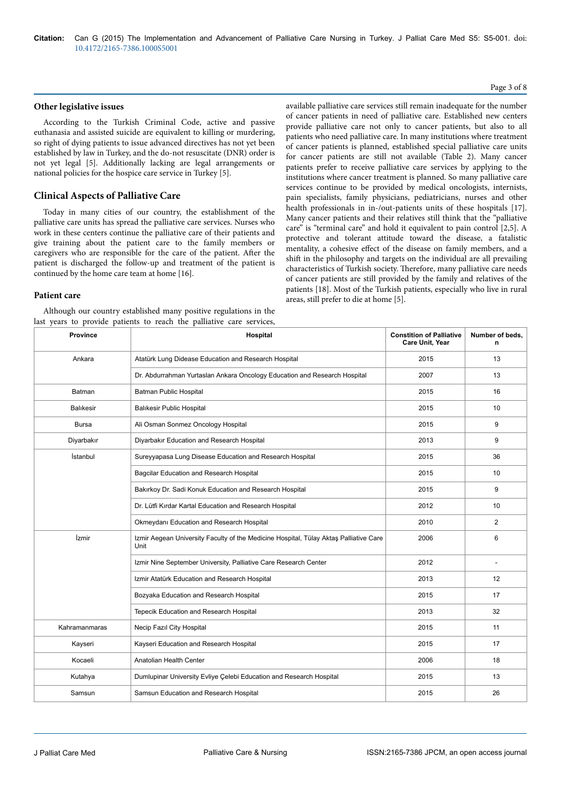#### **Other legislative issues**

According to the Turkish Criminal Code, active and passive euthanasia and assisted suicide are equivalent to killing or murdering, so right of dying patients to issue advanced directives has not yet been established by law in Turkey, and the do-not resuscitate (DNR) order is not yet legal [5]. Additionally lacking are legal arrangements or national policies for the hospice care service in Turkey [5].

# **Clinical Aspects of Palliative Care**

Today in many cities of our country, the establishment of the palliative care units has spread the palliative care services. Nurses who work in these centers continue the palliative care of their patients and give training about the patient care to the family members or caregivers who are responsible for the care of the patient. After the patient is discharged the follow-up and treatment of the patient is continued by the home care team at home [16].

available palliative care services still remain inadequate for the number of cancer patients in need of palliative care. Established new centers provide palliative care not only to cancer patients, but also to all patients who need palliative care. In many institutions where treatment of cancer patients is planned, established special palliative care units for cancer patients are still not available (Table 2). Many cancer patients prefer to receive palliative care services by applying to the institutions where cancer treatment is planned. So many palliative care services continue to be provided by medical oncologists, internists, pain specialists, family physicians, pediatricians, nurses and other health professionals in in-/out-patients units of these hospitals [17]. Many cancer patients and their relatives still think that the "palliative care" is "terminal care" and hold it equivalent to pain control [2,5]. A protective and tolerant attitude toward the disease, a fatalistic mentality, a cohesive effect of the disease on family members, and a shift in the philosophy and targets on the individual are all prevailing characteristics of Turkish society. Therefore, many palliative care needs of cancer patients are still provided by the family and relatives of the patients [18]. Most of the Turkish patients, especially who live in rural areas, still prefer to die at home [5].

#### **Patient care**

Although our country established many positive regulations in the last years to provide patients to reach the palliative care services,

| <b>Province</b>            | Hospital                                                                                      | <b>Constition of Palliative</b><br><b>Care Unit. Year</b> | Number of beds.<br>n |
|----------------------------|-----------------------------------------------------------------------------------------------|-----------------------------------------------------------|----------------------|
| Ankara                     | Atatürk Lung Didease Education and Research Hospital                                          | 2015                                                      | 13                   |
|                            | Dr. Abdurrahman Yurtaslan Ankara Oncology Education and Research Hospital                     | 2007                                                      | 13                   |
| Batman                     | Batman Public Hospital                                                                        | 2015                                                      | 16                   |
| <b>Balikesir</b>           | <b>Balıkesir Public Hospital</b>                                                              | 2015                                                      | 10                   |
| <b>Bursa</b>               | Ali Osman Sonmez Oncology Hospital                                                            | 2015                                                      | 9                    |
| Diyarbakır                 | Diyarbakır Education and Research Hospital                                                    | 2013                                                      | 9                    |
| İstanbul                   | Sureyyapasa Lung Disease Education and Research Hospital                                      | 2015                                                      | 36                   |
|                            | Bagcilar Education and Research Hospital                                                      | 2015                                                      | 10                   |
|                            | Bakırkoy Dr. Sadi Konuk Education and Research Hospital                                       | 2015                                                      | 9                    |
|                            | Dr. Lütfi Kırdar Kartal Education and Research Hospital                                       | 2012                                                      | 10                   |
|                            | Okmeydanı Education and Research Hospital                                                     | 2010                                                      | 2                    |
| <i><u><b>Izmir</b></u></i> | Izmir Aegean University Faculty of the Medicine Hospital, Tülay Aktaş Palliative Care<br>Unit | 2006                                                      | 6                    |
|                            | Izmir Nine September University, Palliative Care Research Center                              | 2012                                                      | $\sim$               |
|                            | Izmir Atatürk Education and Research Hospital                                                 | 2013                                                      | 12                   |
|                            | Bozyaka Education and Research Hospital                                                       | 2015                                                      | 17                   |
|                            | Tepecik Education and Research Hospital                                                       | 2013                                                      | 32                   |
| Kahramanmaras              | Necip Fazıl City Hospital                                                                     | 2015                                                      | 11                   |
| Kayseri                    | Kayseri Education and Research Hospital                                                       | 2015                                                      | 17                   |
| Kocaeli                    | Anatolian Health Center                                                                       | 2006                                                      | 18                   |
| Kutahya                    | Dumlupinar University Evliye Çelebi Education and Research Hospital                           | 2015                                                      | 13                   |
| Samsun                     | Samsun Education and Research Hospital                                                        | 2015                                                      | 26                   |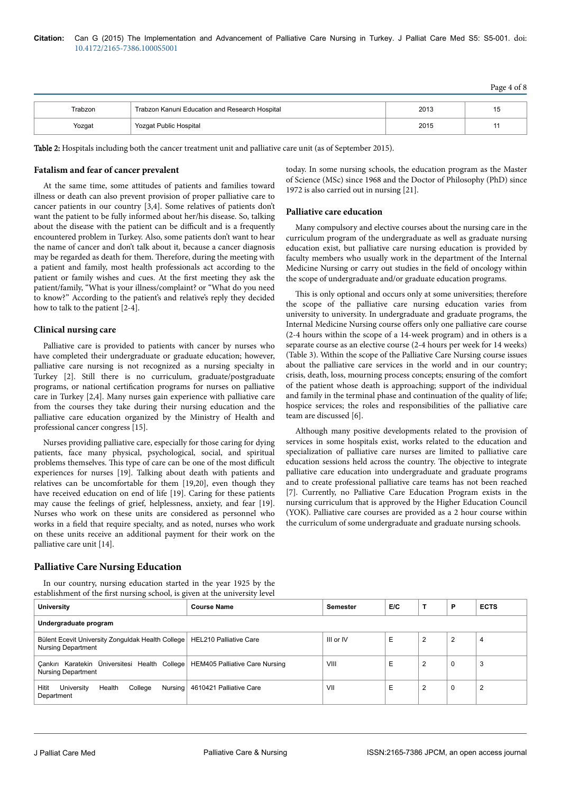## Page 4 of 8

| Trabzon | Trabzon Kanuni Education and Research Hospital | 2013 | 15 |
|---------|------------------------------------------------|------|----|
| Yozgat  | Yozgat Public Hospital                         | 2015 |    |

Table 2: Hospitals including both the cancer treatment unit and palliative care unit (as of September 2015).

#### **Fatalism and fear of cancer prevalent**

At the same time, some attitudes of patients and families toward illness or death can also prevent provision of proper palliative care to cancer patients in our country [3,4]. Some relatives of patients don't want the patient to be fully informed about her/his disease. So, talking about the disease with the patient can be difficult and is a frequently encountered problem in Turkey. Also, some patients don't want to hear the name of cancer and don't talk about it, because a cancer diagnosis may be regarded as death for them. Therefore, during the meeting with a patient and family, most health professionals act according to the patient or family wishes and cues. At the first meeting they ask the patient/family, "What is your illness/complaint? or "What do you need to know?" According to the patient's and relative's reply they decided how to talk to the patient [2-4].

## **Clinical nursing care**

Palliative care is provided to patients with cancer by nurses who have completed their undergraduate or graduate education; however, palliative care nursing is not recognized as a nursing specialty in Turkey [2]. Still there is no curriculum, graduate/postgraduate programs, or national certification programs for nurses on palliative care in Turkey [2,4]. Many nurses gain experience with palliative care from the courses they take during their nursing education and the palliative care education organized by the Ministry of Health and professional cancer congress [15].

Nurses providing palliative care, especially for those caring for dying patients, face many physical, psychological, social, and spiritual problems themselves. This type of care can be one of the most difficult experiences for nurses [19]. Talking about death with patients and relatives can be uncomfortable for them [19,20], even though they have received education on end of life [19]. Caring for these patients may cause the feelings of grief, helplessness, anxiety, and fear [19]. Nurses who work on these units are considered as personnel who works in a field that require specialty, and as noted, nurses who work on these units receive an additional payment for their work on the palliative care unit [14].

## **Palliative Care Nursing Education**

In our country, nursing education started in the year 1925 by the establishment of the first nursing school, is given at the university level today. In some nursing schools, the education program as the Master of Science (MSc) since 1968 and the Doctor of Philosophy (PhD) since 1972 is also carried out in nursing [21].

#### **Palliative care education**

Many compulsory and elective courses about the nursing care in the curriculum program of the undergraduate as well as graduate nursing education exist, but palliative care nursing education is provided by faculty members who usually work in the department of the Internal Medicine Nursing or carry out studies in the field of oncology within the scope of undergraduate and/or graduate education programs.

This is only optional and occurs only at some universities; therefore the scope of the palliative care nursing education varies from university to university. In undergraduate and graduate programs, the Internal Medicine Nursing course offers only one palliative care course (2-4 hours within the scope of a 14-week program) and in others is a separate course as an elective course (2-4 hours per week for 14 weeks) (Table 3). Within the scope of the Palliative Care Nursing course issues about the palliative care services in the world and in our country; crisis, death, loss, mourning process concepts; ensuring of the comfort of the patient whose death is approaching; support of the individual and family in the terminal phase and continuation of the quality of life; hospice services; the roles and responsibilities of the palliative care team are discussed [6].

Although many positive developments related to the provision of services in some hospitals exist, works related to the education and specialization of palliative care nurses are limited to palliative care education sessions held across the country. Нe objective to integrate palliative care education into undergraduate and graduate programs and to create professional palliative care teams has not been reached [7]. Currently, no Palliative Care Education Program exists in the nursing curriculum that is approved by the Higher Education Council (YOK). Palliative care courses are provided as a 2 hour course within the curriculum of some undergraduate and graduate nursing schools.

| <b>University</b>                                                                                           | <b>Course Name</b>                | Semester  | E/C |                | Р | <b>ECTS</b>    |
|-------------------------------------------------------------------------------------------------------------|-----------------------------------|-----------|-----|----------------|---|----------------|
| Undergraduate program                                                                                       |                                   |           |     |                |   |                |
| Bülent Ecevit University Zonguldak Health College   HEL210 Palliative Care<br><b>Nursing Department</b>     |                                   | III or IV | E   | $\overline{2}$ | 2 | 4              |
| Cankırı Karatekin Üniversitesi Health College   HEM405 Palliative Care Nursing<br><b>Nursing Department</b> |                                   | VIII      | E   | 2              |   | 3              |
| Hitit<br>College<br>University<br>Health<br>Department                                                      | Nursing   4610421 Palliative Care | VII       | E   | $\overline{2}$ | 0 | $\overline{2}$ |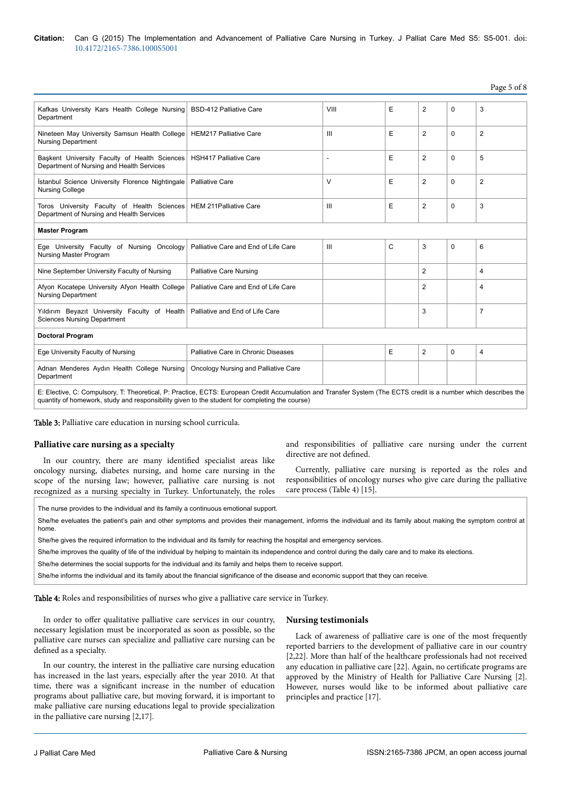|                                                                                            |                                                                                                                                                                                                                                                                    |                |   |                |             | $1$ age $\sigma$ or $\sigma$ |  |
|--------------------------------------------------------------------------------------------|--------------------------------------------------------------------------------------------------------------------------------------------------------------------------------------------------------------------------------------------------------------------|----------------|---|----------------|-------------|------------------------------|--|
|                                                                                            |                                                                                                                                                                                                                                                                    |                |   |                |             |                              |  |
| Kafkas University Kars Health College Nursing<br>Department                                | <b>BSD-412 Palliative Care</b>                                                                                                                                                                                                                                     | VIII           | E | $\overline{2}$ | 0           | 3                            |  |
| Nineteen May University Samsun Health College<br><b>Nursing Department</b>                 | <b>HEM217 Palliative Care</b>                                                                                                                                                                                                                                      | $\mathbf{m}$   | E | $\overline{2}$ | $\Omega$    | 2                            |  |
| Baskent University Faculty of Health Sciences<br>Department of Nursing and Health Services | <b>HSH417 Palliative Care</b>                                                                                                                                                                                                                                      | ٠              | E | 2              | 0           | 5                            |  |
| Istanbul Science University Florence Nightingale<br><b>Nursing College</b>                 | <b>Palliative Care</b>                                                                                                                                                                                                                                             | $\vee$         | E | $\overline{2}$ | $\Omega$    | $\overline{2}$               |  |
| Toros University Faculty of Health Sciences<br>Department of Nursing and Health Services   | <b>HEM 211 Palliative Care</b>                                                                                                                                                                                                                                     | $\mathbf{III}$ | E | $\overline{2}$ | 0           | 3                            |  |
| <b>Master Program</b>                                                                      |                                                                                                                                                                                                                                                                    |                |   |                |             |                              |  |
| Ege University Faculty of Nursing Oncology<br>Nursing Master Program                       | Palliative Care and End of Life Care                                                                                                                                                                                                                               | $\mathbf{III}$ | C | 3              | 0           | 6                            |  |
| Nine September University Faculty of Nursing                                               | <b>Palliative Care Nursing</b>                                                                                                                                                                                                                                     |                |   | 2              |             | 4                            |  |
| Afyon Kocatepe University Afyon Health College<br><b>Nursing Department</b>                | Palliative Care and End of Life Care                                                                                                                                                                                                                               |                |   | 2              |             | 4                            |  |
| Yildirim Beyazit University Faculty of Health<br><b>Sciences Nursing Department</b>        | Palliative and End of Life Care                                                                                                                                                                                                                                    |                |   | 3              |             | $\overline{7}$               |  |
| <b>Doctoral Program</b>                                                                    |                                                                                                                                                                                                                                                                    |                |   |                |             |                              |  |
| Ege University Faculty of Nursing                                                          | Palliative Care in Chronic Diseases                                                                                                                                                                                                                                |                | E | $\overline{2}$ | $\mathbf 0$ | 4                            |  |
| Adnan Menderes Aydın Health College Nursing<br>Department                                  | Oncology Nursing and Palliative Care                                                                                                                                                                                                                               |                |   |                |             |                              |  |
|                                                                                            | E: Elective, C: Compulsory, T: Theoretical, P: Practice, ECTS: European Credit Accumulation and Transfer System (The ECTS credit is a number which describes the<br>quantity of homework, study and responsibility given to the student for completing the course) |                |   |                |             |                              |  |

Table 3: Palliative care education in nursing school curricula.

## **Palliative care nursing as a specialty**

In our country, there are many identified specialist areas like oncology nursing, diabetes nursing, and home care nursing in the scope of the nursing law; however, palliative care nursing is not recognized as a nursing specialty in Turkey. Unfortunately, the roles and responsibilities of palliative care nursing under the current directive are not defined

 $D_{200}$  5 of 9

Currently, palliative care nursing is reported as the roles and responsibilities of oncology nurses who give care during the palliative care process (Table 4) [15].

The nurse provides to the individual and its family a continuous emotional support.

She/he eveluates the patient's pain and other symptoms and provides their management, informs the individual and its family about making the symptom control at home.

She/he gives the required information to the individual and its family for reaching the hospital and emergency services.

She/he improves the quality of life of the individual by helping to maintain its independence and control during the daily care and to make its elections.

She/he determines the social supports for the individual and its family and helps them to receive support.

She/he informs the individual and its family about the financial significance of the disease and economic support that they can receive.

Table 4: Roles and responsibilities of nurses who give a palliative care service in Turkey.

In order to offer qualitative palliative care services in our country, necessary legislation must be incorporated as soon as possible, so the palliative care nurses can specialize and palliative care nursing can be defined as a specialty.

In our country, the interest in the palliative care nursing education has increased in the last years, especially after the year 2010. At that time, there was a significant increase in the number of education programs about palliative care, but moving forward, it is important to make palliative care nursing educations legal to provide specialization in the palliative care nursing [2,17].

#### **Nursing testimonials**

Lack of awareness of palliative care is one of the most frequently reported barriers to the development of palliative care in our country [2,22]. More than half of the healthcare professionals had not received any education in palliative care [22]. Again, no certificate programs are approved by the Ministry of Health for Palliative Care Nursing [2]. However, nurses would like to be informed about palliative care principles and practice [17].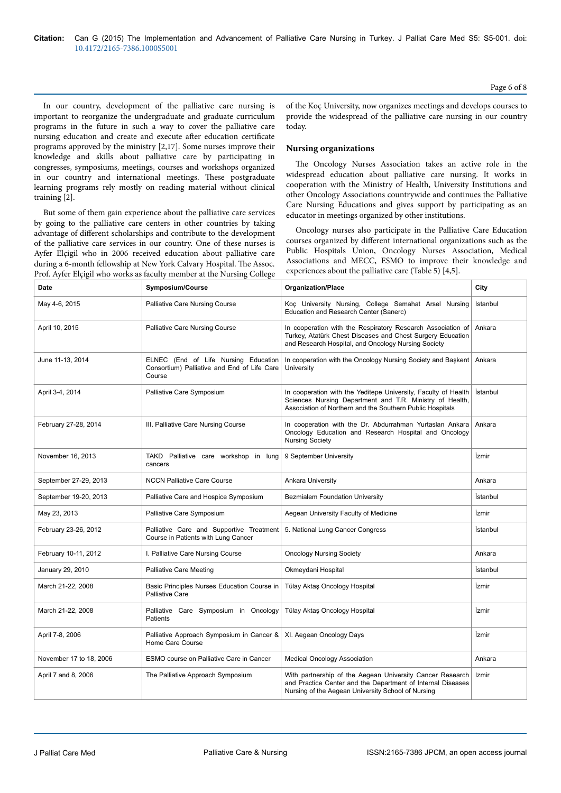In our country, development of the palliative care nursing is important to reorganize the undergraduate and graduate curriculum programs in the future in such a way to cover the palliative care nursing education and create and execute after education certificate programs approved by the ministry [2,17]. Some nurses improve their knowledge and skills about palliative care by participating in congresses, symposiums, meetings, courses and workshops organized in our country and international meetings. Нese postgraduate learning programs rely mostly on reading material without clinical training [2].

But some of them gain experience about the palliative care services by going to the palliative care centers in other countries by taking advantage of different scholarships and contribute to the development of the palliative care services in our country. One of these nurses is Ayfer Elçigil who in 2006 received education about palliative care during a 6-month fellowship at New York Calvary Hospital. Нe Assoc. Prof. Ayfer Elçigil who works as faculty member at the Nursing College of the Koç University, now organizes meetings and develops courses to provide the widespread of the palliative care nursing in our country today.

## **Nursing organizations**

The Oncology Nurses Association takes an active role in the widespread education about palliative care nursing. It works in cooperation with the Ministry of Health, University Institutions and other Oncology Associations countrywide and continues the Palliative Care Nursing Educations and gives support by participating as an educator in meetings organized by other institutions.

Oncology nurses also participate in the Palliative Care Education courses organized by different international organizations such as the Public Hospitals Union, Oncology Nurses Association, Medical Associations and MECC, ESMO to improve their knowledge and experiences about the palliative care (Table 5) [4,5].

| Date                    | <b>Symposium/Course</b>                                                                       | <b>Organization/Place</b>                                                                                                                                                               | City                       |
|-------------------------|-----------------------------------------------------------------------------------------------|-----------------------------------------------------------------------------------------------------------------------------------------------------------------------------------------|----------------------------|
| May 4-6, 2015           | <b>Palliative Care Nursing Course</b>                                                         | Koç University Nursing, College Semahat Arsel Nursing<br>Education and Research Center (Sanerc)                                                                                         | Istanbul                   |
| April 10, 2015          | <b>Palliative Care Nursing Course</b>                                                         | In cooperation with the Respiratory Research Association of<br>Turkey, Atatürk Chest Diseases and Chest Surgery Education<br>and Research Hospital, and Oncology Nursing Society        | Ankara                     |
| June 11-13, 2014        | ELNEC (End of Life Nursing Education<br>Consortium) Palliative and End of Life Care<br>Course | In cooperation with the Oncology Nursing Society and Baskent<br>University                                                                                                              | Ankara                     |
| April 3-4, 2014         | Palliative Care Symposium                                                                     | In cooperation with the Yeditepe University, Faculty of Health<br>Sciences Nursing Department and T.R. Ministry of Health,<br>Association of Northern and the Southern Public Hospitals | İstanbul                   |
| February 27-28, 2014    | III. Palliative Care Nursing Course                                                           | In cooperation with the Dr. Abdurrahman Yurtaslan Ankara<br>Oncology Education and Research Hospital and Oncology<br><b>Nursing Society</b>                                             | Ankara                     |
| November 16, 2013       | TAKD Palliative care workshop in lung<br>cancers                                              | 9 September University                                                                                                                                                                  | <i><u><b>Izmir</b></u></i> |
| September 27-29, 2013   | <b>NCCN Palliative Care Course</b>                                                            | Ankara University                                                                                                                                                                       | Ankara                     |
| September 19-20, 2013   | Palliative Care and Hospice Symposium                                                         | <b>Bezmialem Foundation University</b>                                                                                                                                                  | İstanbul                   |
| May 23, 2013            | Palliative Care Symposium                                                                     | Aegean University Faculty of Medicine                                                                                                                                                   | <i><u><b>Izmir</b></u></i> |
| February 23-26, 2012    | Palliative Care and Supportive Treatment<br>Course in Patients with Lung Cancer               | 5. National Lung Cancer Congress                                                                                                                                                        | İstanbul                   |
| February 10-11, 2012    | I. Palliative Care Nursing Course                                                             | <b>Oncology Nursing Society</b>                                                                                                                                                         | Ankara                     |
| January 29, 2010        | Palliative Care Meeting                                                                       | Okmeydani Hospital                                                                                                                                                                      | İstanbul                   |
| March 21-22, 2008       | Basic Principles Nurses Education Course in<br><b>Palliative Care</b>                         | Tülay Aktaş Oncology Hospital                                                                                                                                                           | <i><u><b>Izmir</b></u></i> |
| March 21-22, 2008       | Palliative Care Symposium in Oncology<br>Patients                                             | Tülay Aktaş Oncology Hospital                                                                                                                                                           | <i><u><b>Izmir</b></u></i> |
| April 7-8, 2006         | Palliative Approach Symposium in Cancer &<br>Home Care Course                                 | XI. Aegean Oncology Days                                                                                                                                                                | <i><u><b>Izmir</b></u></i> |
| November 17 to 18, 2006 | ESMO course on Palliative Care in Cancer                                                      | <b>Medical Oncology Association</b>                                                                                                                                                     | Ankara                     |
| April 7 and 8, 2006     | The Palliative Approach Symposium                                                             | With partnership of the Aegean University Cancer Research<br>and Practice Center and the Department of Internal Diseases<br>Nursing of the Aegean University School of Nursing          | Izmir                      |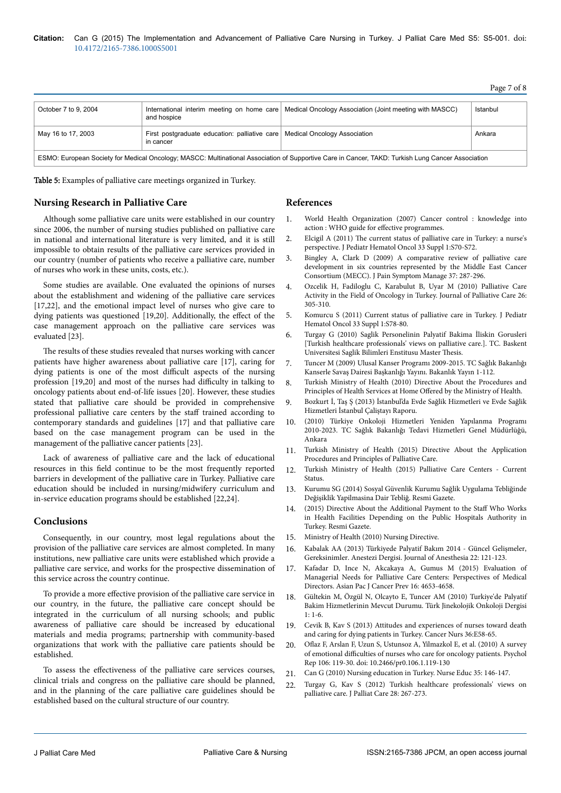| October 7 to 9, 2004                                                                                                                              | and hospice                                                                               | International interim meeting on home care   Medical Oncology Association (Joint meeting with MASCC) | Istanbul |  |  |  |
|---------------------------------------------------------------------------------------------------------------------------------------------------|-------------------------------------------------------------------------------------------|------------------------------------------------------------------------------------------------------|----------|--|--|--|
| May 16 to 17, 2003                                                                                                                                | First postgraduate education: palliative care   Medical Oncology Association<br>in cancer |                                                                                                      | Ankara   |  |  |  |
| ESMO: European Society for Medical Oncology; MASCC: Multinational Association of Supportive Care in Cancer, TAKD: Turkish Lung Cancer Association |                                                                                           |                                                                                                      |          |  |  |  |

Table 5: Examples of palliative care meetings organized in Turkey.

# **Nursing Research in Palliative Care**

Although some palliative care units were established in our country since 2006, the number of nursing studies published on palliative care in national and international literature is very limited, and it is still impossible to obtain results of the palliative care services provided in our country (number of patients who receive a palliative care, number of nurses who work in these units, costs, etc.).

Some studies are available. One evaluated the opinions of nurses about the establishment and widening of the palliative care services [17,22], and the emotional impact level of nurses who give care to dying patients was questioned  $[19,20]$ . Additionally, the effect of the case management approach on the palliative care services was evaluated [23].

The results of these studies revealed that nurses working with cancer patients have higher awareness about palliative care [17], caring for dying patients is one of the most difficult aspects of the nursing profession [19,20] and most of the nurses had difficulty in talking to oncology patients about end-of-life issues [20]. However, these studies stated that palliative care should be provided in comprehensive professional palliative care centers by the staff trained according to contemporary standards and guidelines [17] and that palliative care based on the case management program can be used in the management of the palliative cancer patients [23].

Lack of awareness of palliative care and the lack of educational resources in this field continue to be the most frequently reported barriers in development of the palliative care in Turkey. Palliative care education should be included in nursing/midwifery curriculum and in-service education programs should be established [22,24].

# **Conclusions**

Consequently, in our country, most legal regulations about the provision of the palliative care services are almost completed. In many institutions, new palliative care units were established which provide a palliative care service, and works for the prospective dissemination of this service across the country continue.

To provide a more effective provision of the palliative care service in our country, in the future, the palliative care concept should be integrated in the curriculum of all nursing schools; and public awareness of palliative care should be increased by educational materials and media programs; partnership with community-based organizations that work with the palliative care patients should be established.

To assess the effectiveness of the palliative care services courses, clinical trials and congress on the palliative care should be planned, and in the planning of the care palliative care guidelines should be established based on the cultural structure of our country.

## **References**

- 1. [World Health Organization \(2007\) Cancer control : knowledge into](http://www.who.int/cancer/modules/en/) [action : WHO guide for](http://www.who.int/cancer/modules/en/) effective programmes.
- 2. Elcigil A (2011) Нe [current status of palliative care in Turkey: a nurse's](http://www.ncbi.nlm.nih.gov/pubmed/21448043) [perspective. J Pediatr Hematol Oncol 33 Suppl 1:S70-S72.](http://www.ncbi.nlm.nih.gov/pubmed/21448043)
- 3. [Bingley A, Clark D \(2009\) A comparative review of palliative care](http://www.ncbi.nlm.nih.gov/pubmed/18823750) [development in six countries represented by the Middle East Cancer](http://www.ncbi.nlm.nih.gov/pubmed/18823750) [Consortium \(MECC\). J Pain Symptom Manage 37: 287-296.](http://www.ncbi.nlm.nih.gov/pubmed/18823750)
- 4. [Ozcelik H, Fadiloglu C, Karabulut B, Uyar M \(2010\) Palliative Care](http://www.ncbi.nlm.nih.gov/pubmed/21268524) [Activity in the Field of Oncology in Turkey. Journal of Palliative Care 26:](http://www.ncbi.nlm.nih.gov/pubmed/21268524) [305-310.](http://www.ncbi.nlm.nih.gov/pubmed/21268524)
- 5. [Komurcu S \(2011\) Current status of palliative care in Turkey. J Pediatr](http://www.ncbi.nlm.nih.gov/pubmed/21448046) [Hematol Oncol 33 Suppl 1:S78-80.](http://www.ncbi.nlm.nih.gov/pubmed/21448046)
- 6. Turgay G (2010) Saglik Personelinin Palyatif Bakima İliskin Gorusleri [Turkish healthcare professionals' views on palliative care.]. TC. Baskent Universitesi Saglik Bilimleri Enstitusu Master Нesis
- 7. Tuncer M (2009) Ulusal Kanser Programı 2009-2015. TC Sağlık Bakanlığı Kanserle Savaş Dairesi Başkanlığı Yayını. Bakanlık Yayın 1-112.
- 8. Turkish Ministry of Health (2010) Directive About the Procedures and Principles of Health Services at Home Offered by the Ministry of Health.
- 9. Bozkurt İ, Taş Ş (2013) İstanbul'da Evde Sağlik Hizmetleri ve Evde Sağlik Hizmetleri İstanbul Çaliştayı Raporu.
- 10. (2010) Türkiye Onkoloji Hizmetleri Yeniden Yapılanma Programı 2010-2023. TC Sağlık Bakanlığı Tedavi Hizmetleri Genel Müdürlüğü, Ankara
- 11. Turkish Ministry of Health (2015) Directive About the Application Procedures and Principles of Palliative Care.
- 12. Turkish Ministry of Health (2015) Palliative Care Centers Current Status.
- 13. Kurumu SG (2014) Sosyal Güvenlik Kurumu Sağlik Uygulama Tebliğinde Değişiklik Yapilmasina Dair Tebliğ. Resmi Gazete.
- 14. (2015) Directive About the Additional Payment to the Staff Who Works in Health Facilities Depending on the Public Hospitals Authority in Turkey. Resmi Gazete.
- 15. Ministry of Health (2010) Nursing Directive.
- 16. Kabalak AA (2013) Türkiyede Palyatif Bakım 2014 Güncel Gelişmeler, Gereksinimler. Anestezi Dergisi. Journal of Anesthesia 22: 121-123.
- 17. [Kafadar D, Ince N, Akcakaya A, Gumus M \(2015\) Evaluation of](http://www.ncbi.nlm.nih.gov/pubmed/26107219) [Managerial Needs for Palliative Care Centers: Perspectives of Medical](http://www.ncbi.nlm.nih.gov/pubmed/26107219) [Directors. Asian Pac J Cancer Prev 16: 4653-4658.](http://www.ncbi.nlm.nih.gov/pubmed/26107219)
- 18. [Gültekin M, Özgül N, Olcayto E, Tuncer AM \(2010\) Turkiye'de Palyatif](http://kanser.gov.tr/bilgi-dokumanlar/makaleler/99-palyatif-bakim-durumu.html) [Bakim Hizmetlerinin Mevcut Durumu. Türk Jinekolojik Onkoloji Dergisi](http://kanser.gov.tr/bilgi-dokumanlar/makaleler/99-palyatif-bakim-durumu.html) [1: 1-6.](http://kanser.gov.tr/bilgi-dokumanlar/makaleler/99-palyatif-bakim-durumu.html)
- 19. [Cevik B, Kav S \(2013\) Attitudes and experiences of nurses toward death](http://www.ncbi.nlm.nih.gov/pubmed/23151504) [and caring for dying patients in Turkey. Cancer Nurs 36:E58-65.](http://www.ncbi.nlm.nih.gov/pubmed/23151504)
- 20. Oflaz [F, Arslan F, Uzun S, Ustunsoz A, Yilmazkol E, et al. \(2010\) A survey](http://www.ncbi.nlm.nih.gov/pubmed/20402434) of emotional difficulties [of nurses who care for oncology patients. Psychol](http://www.ncbi.nlm.nih.gov/pubmed/20402434) [Rep 106: 119-30. doi: 10.2466/pr0.106.1.119-130](http://www.ncbi.nlm.nih.gov/pubmed/20402434)
- 21. [Can G \(2010\) Nursing education in Turkey. Nurse Educ 35: 146-147.](http://www.sciencedirect.com/science/article/pii/S0260691709001026)
- 22. [Turgay G, Kav S \(2012\) Turkish healthcare professionals' views on](http://www.ncbi.nlm.nih.gov/pubmed/23413762) [palliative care. J Palliat Care 28: 267-273.](http://www.ncbi.nlm.nih.gov/pubmed/23413762)